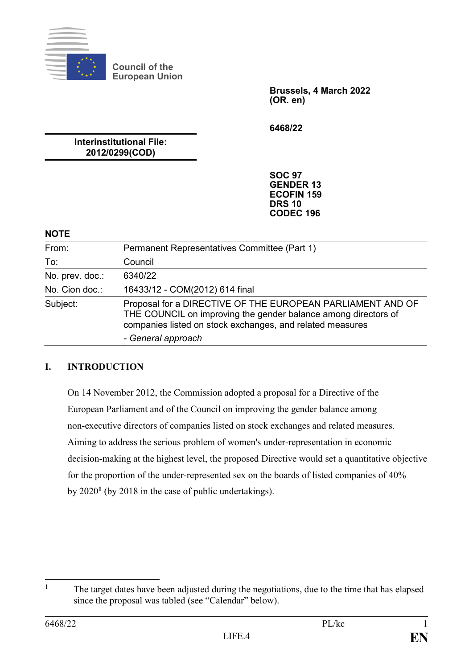

**Council of the European Union**

> **Brussels, 4 March 2022 (OR. en)**

**6468/22**

**Interinstitutional File: 2012/0299(COD)**

> **SOC 97 GENDER 13 ECOFIN 159 DRS 10 CODEC 196**

#### **NOTE**

| From:           | Permanent Representatives Committee (Part 1)                                                                                                                                              |  |
|-----------------|-------------------------------------------------------------------------------------------------------------------------------------------------------------------------------------------|--|
| To:             | Council                                                                                                                                                                                   |  |
| No. prev. doc.: | 6340/22                                                                                                                                                                                   |  |
| No. Cion doc.:  | 16433/12 - COM(2012) 614 final                                                                                                                                                            |  |
| Subject:        | Proposal for a DIRECTIVE OF THE EUROPEAN PARLIAMENT AND OF<br>THE COUNCIL on improving the gender balance among directors of<br>companies listed on stock exchanges, and related measures |  |
|                 | - General approach                                                                                                                                                                        |  |

# **I. INTRODUCTION**

On 14 November 2012, the Commission adopted a proposal for a Directive of the European Parliament and of the Council on improving the gender balance among non-executive directors of companies listed on stock exchanges and related measures. Aiming to address the serious problem of women's under-representation in economic decision-making at the highest level, the proposed Directive would set a quantitative objective for the proportion of the under-represented sex on the boards of listed companies of 40% by 2020**<sup>1</sup>** (by 2018 in the case of public undertakings).

 $\overline{1}$ <sup>1</sup> The target dates have been adjusted during the negotiations, due to the time that has elapsed since the proposal was tabled (see "Calendar" below).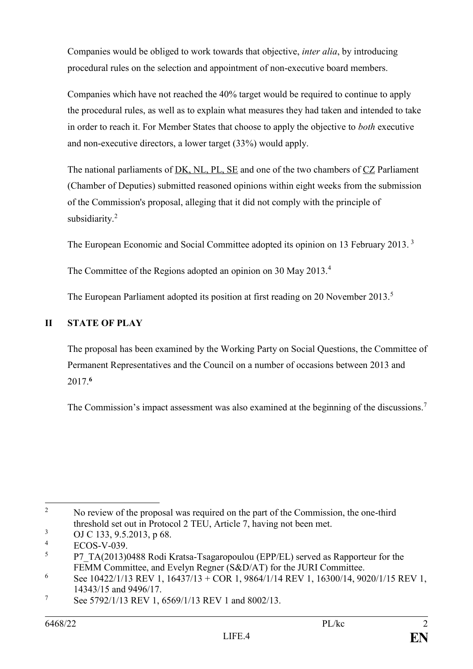Companies would be obliged to work towards that objective, *inter alia*, by introducing procedural rules on the selection and appointment of non-executive board members.

Companies which have not reached the 40% target would be required to continue to apply the procedural rules, as well as to explain what measures they had taken and intended to take in order to reach it. For Member States that choose to apply the objective to *both* executive and non-executive directors, a lower target (33%) would apply.

The national parliaments of DK, NL, PL, SE and one of the two chambers of CZ Parliament (Chamber of Deputies) submitted reasoned opinions within eight weeks from the submission of the Commission's proposal, alleging that it did not comply with the principle of subsidiarity.<sup>2</sup>

The European Economic and Social Committee adopted its opinion on 13 February 2013. <sup>3</sup>

The Committee of the Regions adopted an opinion on 30 May 2013.<sup>4</sup>

The European Parliament adopted its position at first reading on 20 November 2013.<sup>5</sup>

# **II STATE OF PLAY**

The proposal has been examined by the Working Party on Social Questions, the Committee of Permanent Representatives and the Council on a number of occasions between 2013 and 2017.**<sup>6</sup>**

The Commission's impact assessment was also examined at the beginning of the discussions.<sup>7</sup>

 $\overline{2}$ <sup>2</sup> No review of the proposal was required on the part of the Commission, the one-third threshold set out in Protocol 2 TEU, Article 7, having not been met.

 $\frac{3}{4}$  OJ C 133, 9.5.2013, p 68.

 $^{4}$  ECOS-V-039.

<sup>5</sup> P7\_TA(2013)0488 Rodi Kratsa-Tsagaropoulou (EPP/EL) served as Rapporteur for the FEMM Committee, and Evelyn Regner (S&D/AT) for the JURI Committee.

<sup>6</sup> See 10422/1/13 REV 1, 16437/13 + COR 1, 9864/1/14 REV 1, 16300/14, 9020/1/15 REV 1, 14343/15 and 9496/17.

<sup>7</sup> See 5792/1/13 REV 1, 6569/1/13 REV 1 and 8002/13.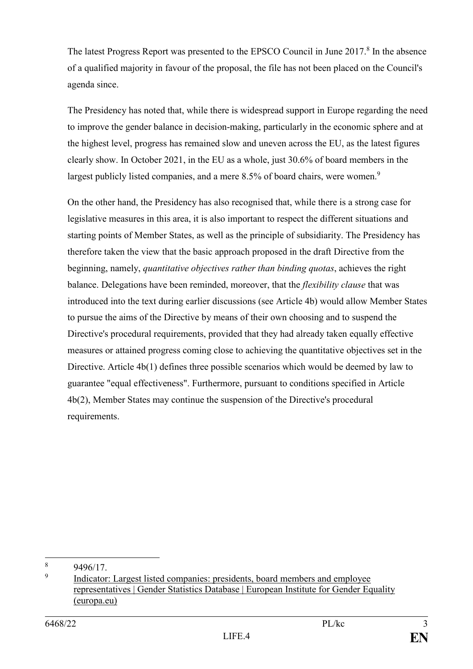The latest Progress Report was presented to the EPSCO Council in June 2017.<sup>8</sup> In the absence of a qualified majority in favour of the proposal, the file has not been placed on the Council's agenda since.

The Presidency has noted that, while there is widespread support in Europe regarding the need to improve the gender balance in decision-making, particularly in the economic sphere and at the highest level, progress has remained slow and uneven across the EU, as the latest figures clearly show. In October 2021, in the EU as a whole, just 30.6% of board members in the largest publicly listed companies, and a mere 8.5% of board chairs, were women.<sup>9</sup>

On the other hand, the Presidency has also recognised that, while there is a strong case for legislative measures in this area, it is also important to respect the different situations and starting points of Member States, as well as the principle of subsidiarity. The Presidency has therefore taken the view that the basic approach proposed in the draft Directive from the beginning, namely, *quantitative objectives rather than binding quotas*, achieves the right balance. Delegations have been reminded, moreover, that the *flexibility clause* that was introduced into the text during earlier discussions (see Article 4b) would allow Member States to pursue the aims of the Directive by means of their own choosing and to suspend the Directive's procedural requirements, provided that they had already taken equally effective measures or attained progress coming close to achieving the quantitative objectives set in the Directive. Article 4b(1) defines three possible scenarios which would be deemed by law to guarantee "equal effectiveness". Furthermore, pursuant to conditions specified in Article 4b(2), Member States may continue the suspension of the Directive's procedural requirements.

1

<sup>8</sup> 9496/17.

<sup>9</sup> [Indicator: Largest listed companies: presidents, board members and employee](https://eige.europa.eu/gender-statistics/dgs/indicator/wmidm_bus_bus__wmid_comp_compbm/datatable)  [representatives | Gender Statistics Database | European Institute for](https://eige.europa.eu/gender-statistics/dgs/indicator/wmidm_bus_bus__wmid_comp_compbm/datatable) Gender Equality [\(europa.eu\)](https://eige.europa.eu/gender-statistics/dgs/indicator/wmidm_bus_bus__wmid_comp_compbm/datatable)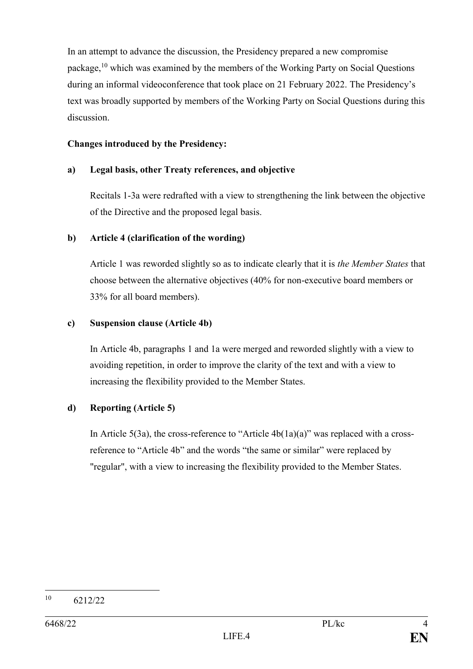In an attempt to advance the discussion, the Presidency prepared a new compromise package,<sup>10</sup> which was examined by the members of the Working Party on Social Questions during an informal videoconference that took place on 21 February 2022. The Presidency's text was broadly supported by members of the Working Party on Social Questions during this discussion.

#### **Changes introduced by the Presidency:**

#### **a) Legal basis, other Treaty references, and objective**

Recitals 1-3a were redrafted with a view to strengthening the link between the objective of the Directive and the proposed legal basis.

#### **b) Article 4 (clarification of the wording)**

Article 1 was reworded slightly so as to indicate clearly that it is *the Member States* that choose between the alternative objectives (40% for non-executive board members or 33% for all board members).

#### **c) Suspension clause (Article 4b)**

In Article 4b, paragraphs 1 and 1a were merged and reworded slightly with a view to avoiding repetition, in order to improve the clarity of the text and with a view to increasing the flexibility provided to the Member States.

#### **d) Reporting (Article 5)**

In Article  $5(3a)$ , the cross-reference to "Article  $4b(1a)(a)$ " was replaced with a crossreference to "Article 4b" and the words "the same or similar" were replaced by "regular", with a view to increasing the flexibility provided to the Member States.

 $10<sup>1</sup>$ 6212/22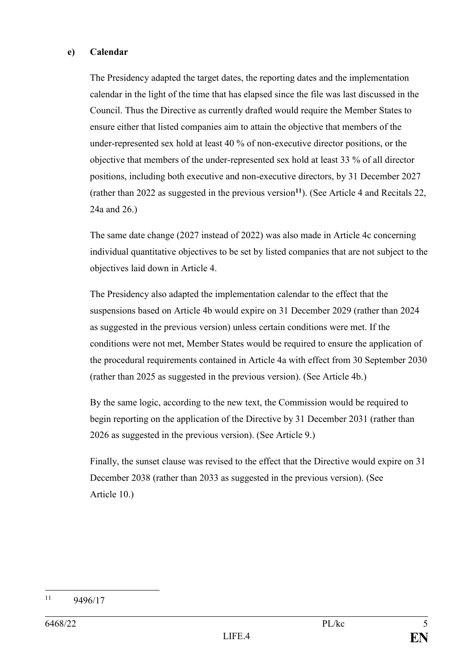#### **e) Calendar**

The Presidency adapted the target dates, the reporting dates and the implementation calendar in the light of the time that has elapsed since the file was last discussed in the Council. Thus the Directive as currently drafted would require the Member States to ensure either that listed companies aim to attain the objective that members of the under-represented sex hold at least 40 % of non-executive director positions, or the objective that members of the under-represented sex hold at least 33 % of all director positions, including both executive and non-executive directors, by 31 December 2027 (rather than 2022 as suggested in the previous version**<sup>11</sup>**). (See Article 4 and Recitals 22, 24a and 26.)

The same date change (2027 instead of 2022) was also made in Article 4c concerning individual quantitative objectives to be set by listed companies that are not subject to the objectives laid down in Article 4.

The Presidency also adapted the implementation calendar to the effect that the suspensions based on Article 4b would expire on 31 December 2029 (rather than 2024 as suggested in the previous version) unless certain conditions were met. If the conditions were not met, Member States would be required to ensure the application of the procedural requirements contained in Article 4a with effect from 30 September 2030 (rather than 2025 as suggested in the previous version). (See Article 4b.)

By the same logic, according to the new text, the Commission would be required to begin reporting on the application of the Directive by 31 December 2031 (rather than 2026 as suggested in the previous version). (See Article 9.)

Finally, the sunset clause was revised to the effect that the Directive would expire on 31 December 2038 (rather than 2033 as suggested in the previous version). (See Article 10.)

 $11$ 9496/17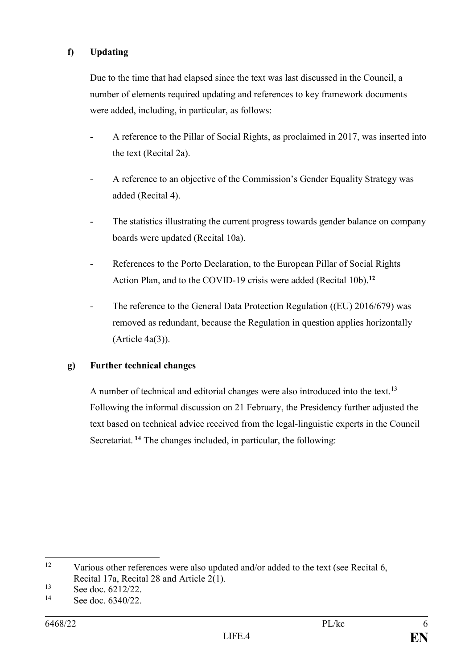# **f) Updating**

Due to the time that had elapsed since the text was last discussed in the Council, a number of elements required updating and references to key framework documents were added, including, in particular, as follows:

- A reference to the Pillar of Social Rights, as proclaimed in 2017, was inserted into the text (Recital 2a).
- A reference to an objective of the Commission's Gender Equality Strategy was added (Recital 4).
- The statistics illustrating the current progress towards gender balance on company boards were updated (Recital 10a).
- References to the Porto Declaration, to the European Pillar of Social Rights Action Plan, and to the COVID-19 crisis were added (Recital 10b). **12**
- The reference to the General Data Protection Regulation ((EU) 2016/679) was removed as redundant, because the Regulation in question applies horizontally (Article 4a(3)).

#### **g) Further technical changes**

A number of technical and editorial changes were also introduced into the text.<sup>13</sup> Following the informal discussion on 21 February, the Presidency further adjusted the text based on technical advice received from the legal-linguistic experts in the Council Secretariat. **<sup>14</sup>** The changes included, in particular, the following:

<sup>12</sup> Various other references were also updated and/or added to the text (see Recital 6, Recital 17a, Recital 28 and Article 2(1).

 $13$  See doc.  $6212/22$ .

See doc.  $6340/22$ .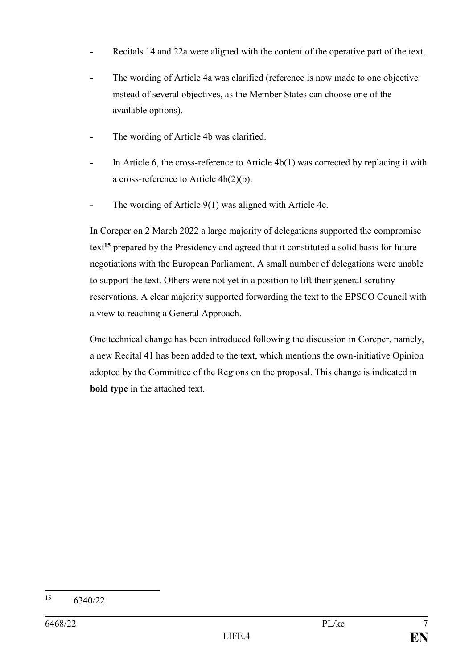- Recitals 14 and 22a were aligned with the content of the operative part of the text.
- The wording of Article 4a was clarified (reference is now made to one objective instead of several objectives, as the Member States can choose one of the available options).
- The wording of Article 4b was clarified.
- In Article 6, the cross-reference to Article  $4b(1)$  was corrected by replacing it with a cross-reference to Article 4b(2)(b).
- The wording of Article 9(1) was aligned with Article 4c.

In Coreper on 2 March 2022 a large majority of delegations supported the compromise text**<sup>15</sup>** prepared by the Presidency and agreed that it constituted a solid basis for future negotiations with the European Parliament. A small number of delegations were unable to support the text. Others were not yet in a position to lift their general scrutiny reservations. A clear majority supported forwarding the text to the EPSCO Council with a view to reaching a General Approach.

One technical change has been introduced following the discussion in Coreper, namely, a new Recital 41 has been added to the text, which mentions the own-initiative Opinion adopted by the Committee of the Regions on the proposal. This change is indicated in **bold type** in the attached text.

<sup>15</sup> 6340/22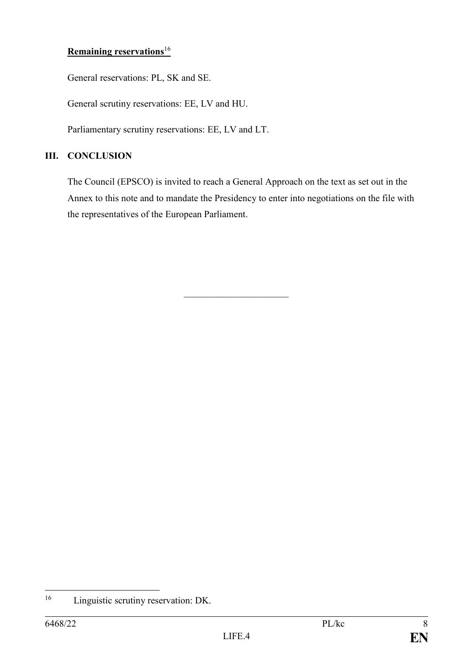# **Remaining reservations**<sup>16</sup>

General reservations: PL, SK and SE.

General scrutiny reservations: EE, LV and HU.

Parliamentary scrutiny reservations: EE, LV and LT.

#### **III. CONCLUSION**

The Council (EPSCO) is invited to reach a General Approach on the text as set out in the Annex to this note and to mandate the Presidency to enter into negotiations on the file with the representatives of the European Parliament.

 $\mathcal{L}_\text{max}$ 

 $16$ Linguistic scrutiny reservation: DK.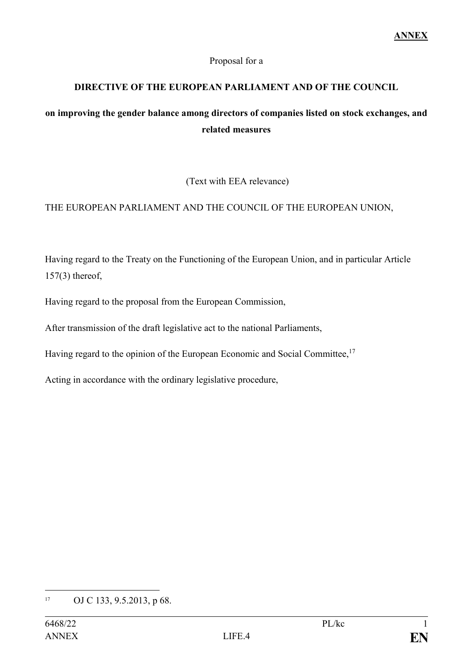#### Proposal for a

# **DIRECTIVE OF THE EUROPEAN PARLIAMENT AND OF THE COUNCIL**

# **on improving the gender balance among directors of companies listed on stock exchanges, and related measures**

(Text with EEA relevance)

# THE EUROPEAN PARLIAMENT AND THE COUNCIL OF THE EUROPEAN UNION,

Having regard to the Treaty on the Functioning of the European Union, and in particular Article 157(3) thereof,

Having regard to the proposal from the European Commission,

After transmission of the draft legislative act to the national Parliaments,

Having regard to the opinion of the European Economic and Social Committee,<sup>17</sup>

Acting in accordance with the ordinary legislative procedure,

<sup>&</sup>lt;u>.</u> <sup>17</sup> OJ C 133, 9.5.2013, p 68.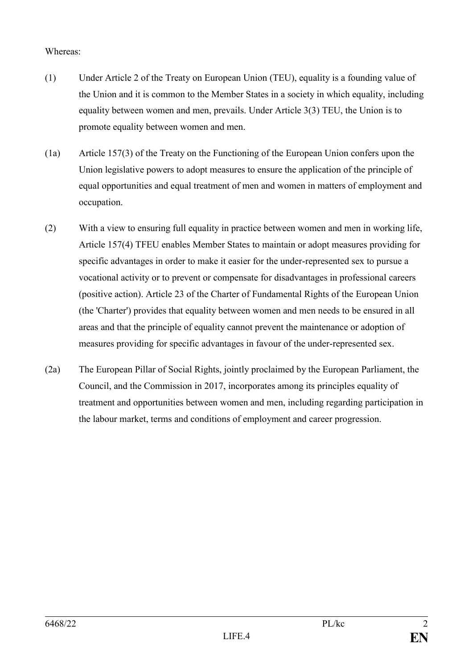#### Whereas:

- (1) Under Article 2 of the Treaty on European Union (TEU), equality is a founding value of the Union and it is common to the Member States in a society in which equality, including equality between women and men, prevails. Under Article 3(3) TEU, the Union is to promote equality between women and men.
- (1a) Article 157(3) of the Treaty on the Functioning of the European Union confers upon the Union legislative powers to adopt measures to ensure the application of the principle of equal opportunities and equal treatment of men and women in matters of employment and occupation.
- (2) With a view to ensuring full equality in practice between women and men in working life, Article 157(4) TFEU enables Member States to maintain or adopt measures providing for specific advantages in order to make it easier for the under-represented sex to pursue a vocational activity or to prevent or compensate for disadvantages in professional careers (positive action). Article 23 of the Charter of Fundamental Rights of the European Union (the 'Charter') provides that equality between women and men needs to be ensured in all areas and that the principle of equality cannot prevent the maintenance or adoption of measures providing for specific advantages in favour of the under-represented sex.
- (2a) The European Pillar of Social Rights, jointly proclaimed by the European Parliament, the Council, and the Commission in 2017, incorporates among its principles equality of treatment and opportunities between women and men, including regarding participation in the labour market, terms and conditions of employment and career progression.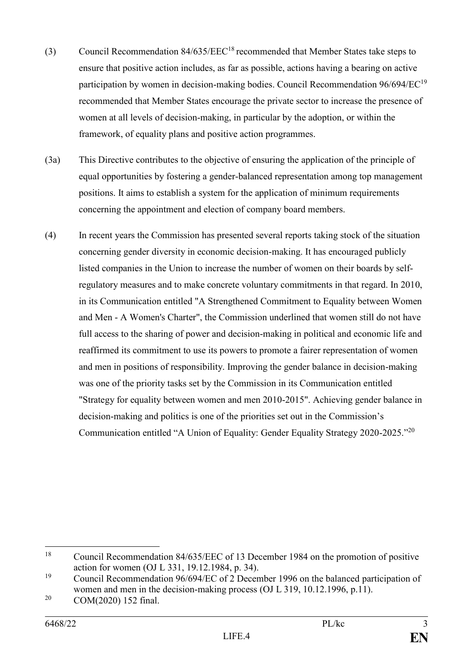- (3) Council Recommendation 84/635/EEC<sup>18</sup> recommended that Member States take steps to ensure that positive action includes, as far as possible, actions having a bearing on active participation by women in decision-making bodies. Council Recommendation  $96/694/EC^{19}$ recommended that Member States encourage the private sector to increase the presence of women at all levels of decision-making, in particular by the adoption, or within the framework, of equality plans and positive action programmes.
- (3a) This Directive contributes to the objective of ensuring the application of the principle of equal opportunities by fostering a gender-balanced representation among top management positions. It aims to establish a system for the application of minimum requirements concerning the appointment and election of company board members.
- (4) In recent years the Commission has presented several reports taking stock of the situation concerning gender diversity in economic decision-making. It has encouraged publicly listed companies in the Union to increase the number of women on their boards by selfregulatory measures and to make concrete voluntary commitments in that regard. In 2010, in its Communication entitled "A Strengthened Commitment to Equality between Women and Men - A Women's Charter", the Commission underlined that women still do not have full access to the sharing of power and decision-making in political and economic life and reaffirmed its commitment to use its powers to promote a fairer representation of women and men in positions of responsibility. Improving the gender balance in decision-making was one of the priority tasks set by the Commission in its Communication entitled "Strategy for equality between women and men 2010-2015". Achieving gender balance in decision-making and politics is one of the priorities set out in the Commission's Communication entitled "A Union of Equality: Gender Equality Strategy 2020-2025."<sup>20</sup>

1

<sup>18</sup> Council Recommendation 84/635/EEC of 13 December 1984 on the promotion of positive action for women (OJ L 331, 19.12.1984, p. 34).

<sup>&</sup>lt;sup>19</sup> Council Recommendation  $96/694/EC$  of 2 December 1996 on the balanced participation of women and men in the decision-making process (OJ L 319, 10.12.1996, p.11).

<sup>20</sup> COM(2020) 152 final.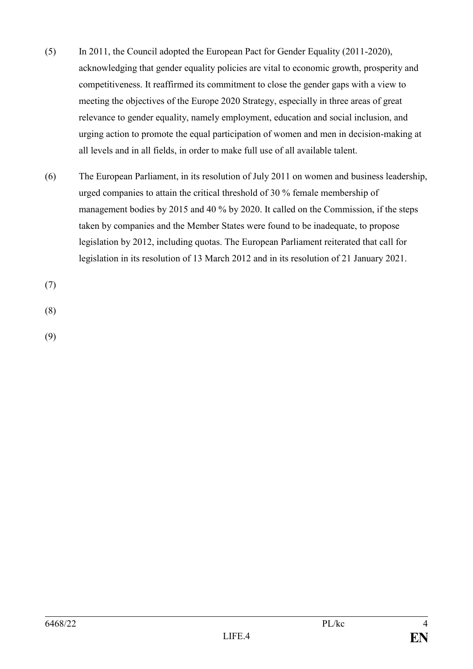- (5) In 2011, the Council adopted the European Pact for Gender Equality (2011-2020), acknowledging that gender equality policies are vital to economic growth, prosperity and competitiveness. It reaffirmed its commitment to close the gender gaps with a view to meeting the objectives of the Europe 2020 Strategy, especially in three areas of great relevance to gender equality, namely employment, education and social inclusion, and urging action to promote the equal participation of women and men in decision-making at all levels and in all fields, in order to make full use of all available talent.
- (6) The European Parliament, in its resolution of July 2011 on women and business leadership, urged companies to attain the critical threshold of 30 % female membership of management bodies by 2015 and 40 % by 2020. It called on the Commission, if the steps taken by companies and the Member States were found to be inadequate, to propose legislation by 2012, including quotas. The European Parliament reiterated that call for legislation in its resolution of 13 March 2012 and in its resolution of 21 January 2021.

(7)

(8)

(9)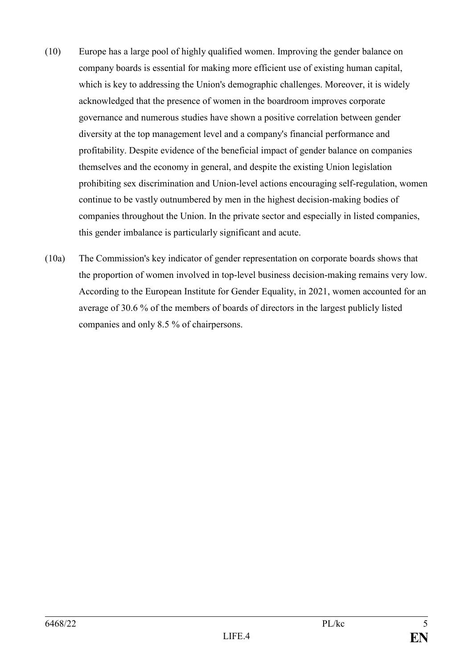- (10) Europe has a large pool of highly qualified women. Improving the gender balance on company boards is essential for making more efficient use of existing human capital, which is key to addressing the Union's demographic challenges. Moreover, it is widely acknowledged that the presence of women in the boardroom improves corporate governance and numerous studies have shown a positive correlation between gender diversity at the top management level and a company's financial performance and profitability. Despite evidence of the beneficial impact of gender balance on companies themselves and the economy in general, and despite the existing Union legislation prohibiting sex discrimination and Union-level actions encouraging self-regulation, women continue to be vastly outnumbered by men in the highest decision-making bodies of companies throughout the Union. In the private sector and especially in listed companies, this gender imbalance is particularly significant and acute.
- (10a) The Commission's key indicator of gender representation on corporate boards shows that the proportion of women involved in top-level business decision-making remains very low. According to the European Institute for Gender Equality, in 2021, women accounted for an average of 30.6 % of the members of boards of directors in the largest publicly listed companies and only 8.5 % of chairpersons.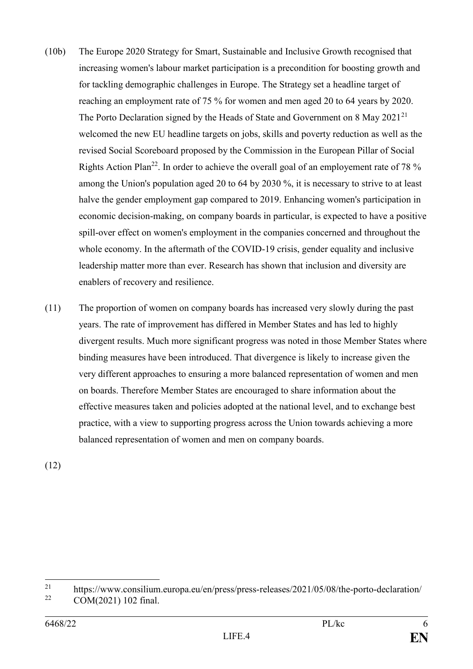- (10b) The Europe 2020 Strategy for Smart, Sustainable and Inclusive Growth recognised that increasing women's labour market participation is a precondition for boosting growth and for tackling demographic challenges in Europe. The Strategy set a headline target of reaching an employment rate of 75 % for women and men aged 20 to 64 years by 2020. The Porto Declaration signed by the Heads of State and Government on 8 May 2021<sup>21</sup> welcomed the new EU headline targets on jobs, skills and poverty reduction as well as the revised Social Scoreboard proposed by the Commission in the European Pillar of Social Rights Action Plan<sup>22</sup>. In order to achieve the overall goal of an employement rate of 78  $\%$ among the Union's population aged 20 to 64 by 2030 %, it is necessary to strive to at least halve the gender employment gap compared to 2019. Enhancing women's participation in economic decision-making, on company boards in particular, is expected to have a positive spill-over effect on women's employment in the companies concerned and throughout the whole economy. In the aftermath of the COVID-19 crisis, gender equality and inclusive leadership matter more than ever. Research has shown that inclusion and diversity are enablers of recovery and resilience.
- (11) The proportion of women on company boards has increased very slowly during the past years. The rate of improvement has differed in Member States and has led to highly divergent results. Much more significant progress was noted in those Member States where binding measures have been introduced. That divergence is likely to increase given the very different approaches to ensuring a more balanced representation of women and men on boards. Therefore Member States are encouraged to share information about the effective measures taken and policies adopted at the national level, and to exchange best practice, with a view to supporting progress across the Union towards achieving a more balanced representation of women and men on company boards.

(12)

 $21$ <sup>21</sup> <https://www.consilium.europa.eu/en/press/press-releases/2021/05/08/the-porto-declaration/><br><sup>22</sup> COM(2021) 102.5 vs<sup>1</sup>

COM(2021) 102 final.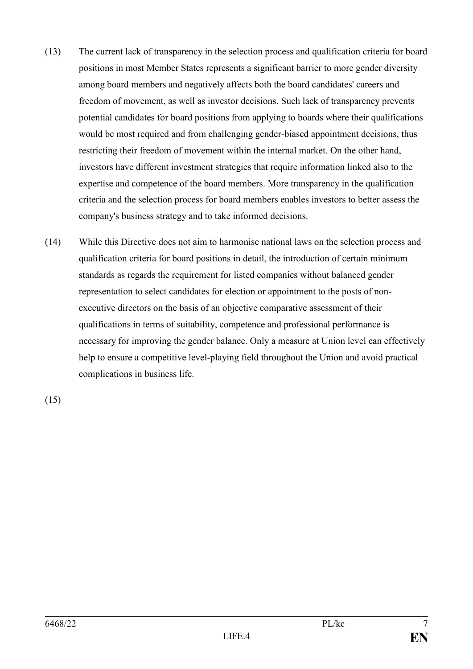- (13) The current lack of transparency in the selection process and qualification criteria for board positions in most Member States represents a significant barrier to more gender diversity among board members and negatively affects both the board candidates' careers and freedom of movement, as well as investor decisions. Such lack of transparency prevents potential candidates for board positions from applying to boards where their qualifications would be most required and from challenging gender-biased appointment decisions, thus restricting their freedom of movement within the internal market. On the other hand, investors have different investment strategies that require information linked also to the expertise and competence of the board members. More transparency in the qualification criteria and the selection process for board members enables investors to better assess the company's business strategy and to take informed decisions.
- (14) While this Directive does not aim to harmonise national laws on the selection process and qualification criteria for board positions in detail, the introduction of certain minimum standards as regards the requirement for listed companies without balanced gender representation to select candidates for election or appointment to the posts of nonexecutive directors on the basis of an objective comparative assessment of their qualifications in terms of suitability, competence and professional performance is necessary for improving the gender balance. Only a measure at Union level can effectively help to ensure a competitive level-playing field throughout the Union and avoid practical complications in business life.

(15)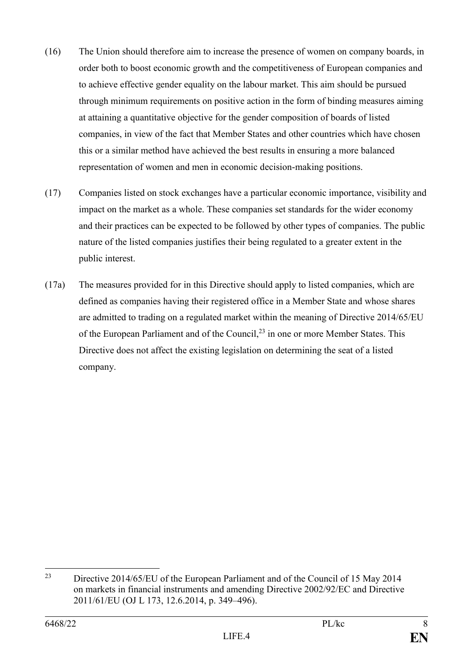- (16) The Union should therefore aim to increase the presence of women on company boards, in order both to boost economic growth and the competitiveness of European companies and to achieve effective gender equality on the labour market. This aim should be pursued through minimum requirements on positive action in the form of binding measures aiming at attaining a quantitative objective for the gender composition of boards of listed companies, in view of the fact that Member States and other countries which have chosen this or a similar method have achieved the best results in ensuring a more balanced representation of women and men in economic decision-making positions.
- (17) Companies listed on stock exchanges have a particular economic importance, visibility and impact on the market as a whole. These companies set standards for the wider economy and their practices can be expected to be followed by other types of companies. The public nature of the listed companies justifies their being regulated to a greater extent in the public interest.
- (17a) The measures provided for in this Directive should apply to listed companies, which are defined as companies having their registered office in a Member State and whose shares are admitted to trading on a regulated market within the meaning of Directive 2014/65/EU of the European Parliament and of the Council,<sup>23</sup> in one or more Member States. This Directive does not affect the existing legislation on determining the seat of a listed company.

 $23$ <sup>23</sup> Directive 2014/65/EU of the European Parliament and of the Council of 15 May 2014 on markets in financial instruments and amending Directive 2002/92/EC and Directive 2011/61/EU (OJ L 173, 12.6.2014, p. 349–496).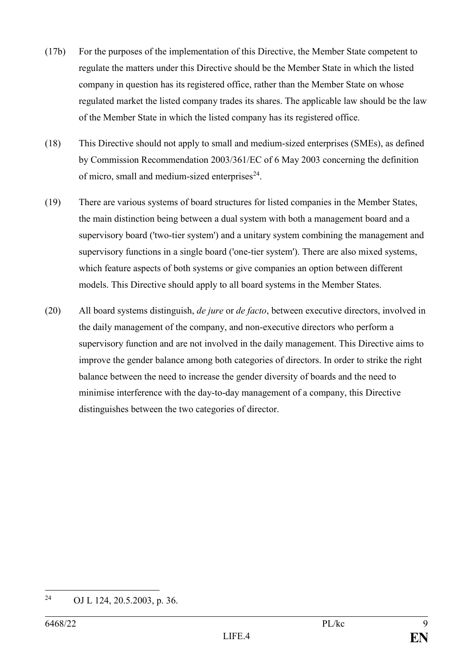- (17b) For the purposes of the implementation of this Directive, the Member State competent to regulate the matters under this Directive should be the Member State in which the listed company in question has its registered office, rather than the Member State on whose regulated market the listed company trades its shares. The applicable law should be the law of the Member State in which the listed company has its registered office.
- (18) This Directive should not apply to small and medium-sized enterprises (SMEs), as defined by Commission Recommendation 2003/361/EC of 6 May 2003 concerning the definition of micro, small and medium-sized enterprises $24$ .
- (19) There are various systems of board structures for listed companies in the Member States, the main distinction being between a dual system with both a management board and a supervisory board ('two-tier system') and a unitary system combining the management and supervisory functions in a single board ('one-tier system'). There are also mixed systems, which feature aspects of both systems or give companies an option between different models. This Directive should apply to all board systems in the Member States.
- (20) All board systems distinguish, *de jure* or *de facto*, between executive directors, involved in the daily management of the company, and non-executive directors who perform a supervisory function and are not involved in the daily management. This Directive aims to improve the gender balance among both categories of directors. In order to strike the right balance between the need to increase the gender diversity of boards and the need to minimise interference with the day-to-day management of a company, this Directive distinguishes between the two categories of director.

<sup>24</sup> OJ L 124, 20.5.2003, p. 36.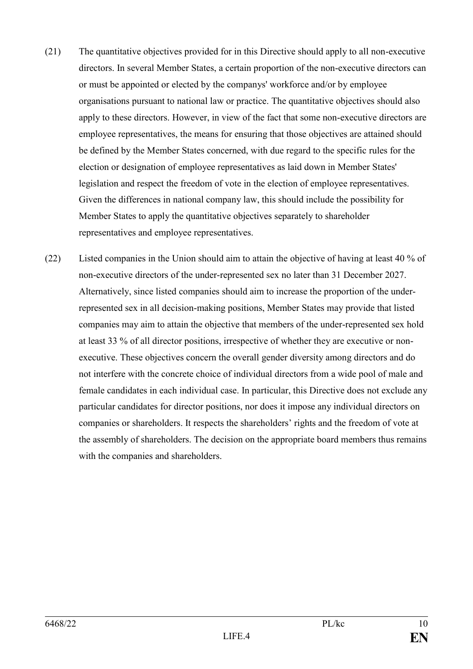- (21) The quantitative objectives provided for in this Directive should apply to all non-executive directors. In several Member States, a certain proportion of the non-executive directors can or must be appointed or elected by the companys' workforce and/or by employee organisations pursuant to national law or practice. The quantitative objectives should also apply to these directors. However, in view of the fact that some non-executive directors are employee representatives, the means for ensuring that those objectives are attained should be defined by the Member States concerned, with due regard to the specific rules for the election or designation of employee representatives as laid down in Member States' legislation and respect the freedom of vote in the election of employee representatives. Given the differences in national company law, this should include the possibility for Member States to apply the quantitative objectives separately to shareholder representatives and employee representatives.
- (22) Listed companies in the Union should aim to attain the objective of having at least 40 % of non-executive directors of the under-represented sex no later than 31 December 2027. Alternatively, since listed companies should aim to increase the proportion of the underrepresented sex in all decision-making positions, Member States may provide that listed companies may aim to attain the objective that members of the under-represented sex hold at least 33 % of all director positions, irrespective of whether they are executive or nonexecutive. These objectives concern the overall gender diversity among directors and do not interfere with the concrete choice of individual directors from a wide pool of male and female candidates in each individual case. In particular, this Directive does not exclude any particular candidates for director positions, nor does it impose any individual directors on companies or shareholders. It respects the shareholders' rights and the freedom of vote at the assembly of shareholders. The decision on the appropriate board members thus remains with the companies and shareholders.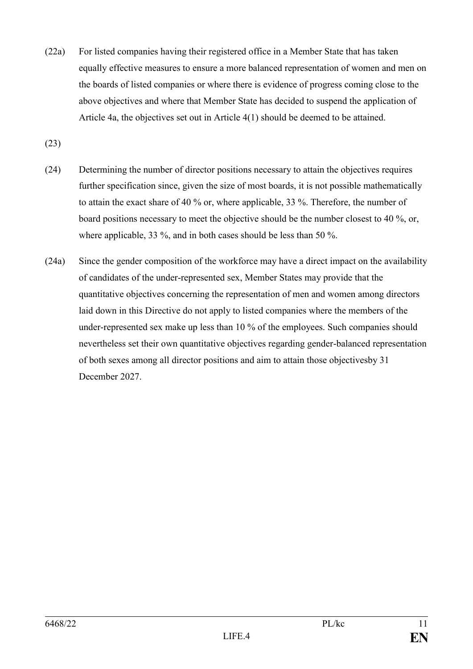- (22a) For listed companies having their registered office in a Member State that has taken equally effective measures to ensure a more balanced representation of women and men on the boards of listed companies or where there is evidence of progress coming close to the above objectives and where that Member State has decided to suspend the application of Article 4a, the objectives set out in Article 4(1) should be deemed to be attained.
- (23)
- (24) Determining the number of director positions necessary to attain the objectives requires further specification since, given the size of most boards, it is not possible mathematically to attain the exact share of 40 % or, where applicable, 33 %. Therefore, the number of board positions necessary to meet the objective should be the number closest to 40 %, or, where applicable, 33 %, and in both cases should be less than 50 %.
- (24a) Since the gender composition of the workforce may have a direct impact on the availability of candidates of the under-represented sex, Member States may provide that the quantitative objectives concerning the representation of men and women among directors laid down in this Directive do not apply to listed companies where the members of the under-represented sex make up less than 10 % of the employees. Such companies should nevertheless set their own quantitative objectives regarding gender-balanced representation of both sexes among all director positions and aim to attain those objectivesby 31 December 2027.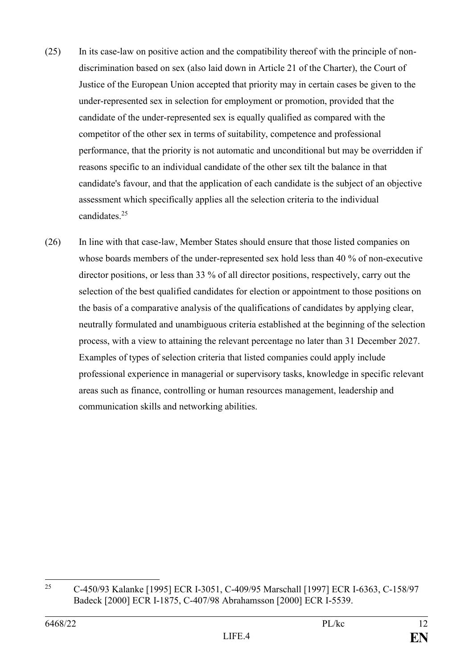- (25) In its case-law on positive action and the compatibility thereof with the principle of nondiscrimination based on sex (also laid down in Article 21 of the Charter), the Court of Justice of the European Union accepted that priority may in certain cases be given to the under-represented sex in selection for employment or promotion, provided that the candidate of the under-represented sex is equally qualified as compared with the competitor of the other sex in terms of suitability, competence and professional performance, that the priority is not automatic and unconditional but may be overridden if reasons specific to an individual candidate of the other sex tilt the balance in that candidate's favour, and that the application of each candidate is the subject of an objective assessment which specifically applies all the selection criteria to the individual candidates.<sup>25</sup>
- (26) In line with that case-law, Member States should ensure that those listed companies on whose boards members of the under-represented sex hold less than 40 % of non-executive director positions, or less than 33 % of all director positions, respectively, carry out the selection of the best qualified candidates for election or appointment to those positions on the basis of a comparative analysis of the qualifications of candidates by applying clear, neutrally formulated and unambiguous criteria established at the beginning of the selection process, with a view to attaining the relevant percentage no later than 31 December 2027. Examples of types of selection criteria that listed companies could apply include professional experience in managerial or supervisory tasks, knowledge in specific relevant areas such as finance, controlling or human resources management, leadership and communication skills and networking abilities.

<sup>25</sup> <sup>25</sup> C-450/93 Kalanke [1995] ECR I-3051, C-409/95 Marschall [1997] ECR I-6363, C-158/97 Badeck [2000] ECR I-1875, C-407/98 Abrahamsson [2000] ECR I-5539.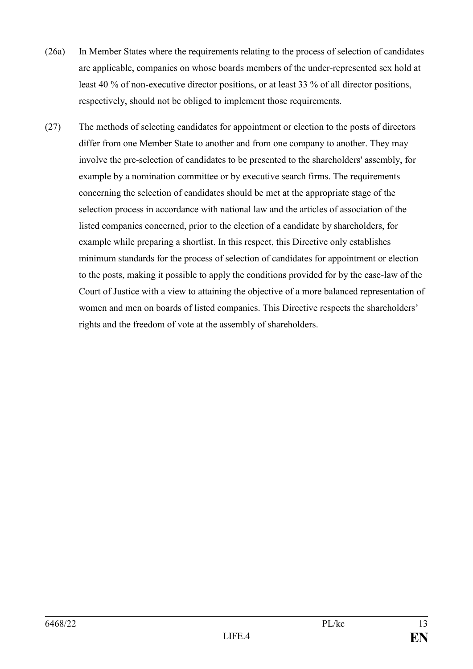- (26a) In Member States where the requirements relating to the process of selection of candidates are applicable, companies on whose boards members of the under-represented sex hold at least 40 % of non-executive director positions, or at least 33 % of all director positions, respectively, should not be obliged to implement those requirements.
- (27) The methods of selecting candidates for appointment or election to the posts of directors differ from one Member State to another and from one company to another. They may involve the pre-selection of candidates to be presented to the shareholders' assembly, for example by a nomination committee or by executive search firms. The requirements concerning the selection of candidates should be met at the appropriate stage of the selection process in accordance with national law and the articles of association of the listed companies concerned, prior to the election of a candidate by shareholders, for example while preparing a shortlist. In this respect, this Directive only establishes minimum standards for the process of selection of candidates for appointment or election to the posts, making it possible to apply the conditions provided for by the case-law of the Court of Justice with a view to attaining the objective of a more balanced representation of women and men on boards of listed companies. This Directive respects the shareholders' rights and the freedom of vote at the assembly of shareholders.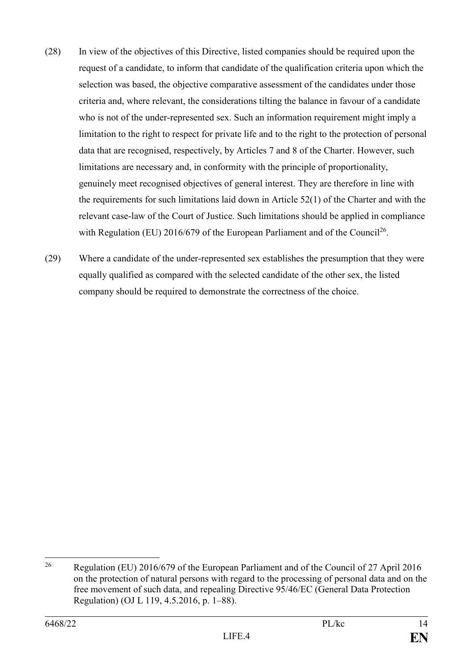- (28) In view of the objectives of this Directive, listed companies should be required upon the request of a candidate, to inform that candidate of the qualification criteria upon which the selection was based, the objective comparative assessment of the candidates under those criteria and, where relevant, the considerations tilting the balance in favour of a candidate who is not of the under-represented sex. Such an information requirement might imply a limitation to the right to respect for private life and to the right to the protection of personal data that are recognised, respectively, by Articles 7 and 8 of the Charter. However, such limitations are necessary and, in conformity with the principle of proportionality, genuinely meet recognised objectives of general interest. They are therefore in line with the requirements for such limitations laid down in Article 52(1) of the Charter and with the relevant case-law of the Court of Justice. Such limitations should be applied in compliance with Regulation (EU) 2016/679 of the European Parliament and of the Council<sup>26</sup>.
- (29) Where a candidate of the under-represented sex establishes the presumption that they were equally qualified as compared with the selected candidate of the other sex, the listed company should be required to demonstrate the correctness of the choice.

<sup>26</sup> <sup>26</sup> Regulation (EU) 2016/679 of the European Parliament and of the Council of 27 April 2016 on the protection of natural persons with regard to the processing of personal data and on the free movement of such data, and repealing Directive 95/46/EC (General Data Protection Regulation) (OJ L 119, 4.5.2016, p. 1–88).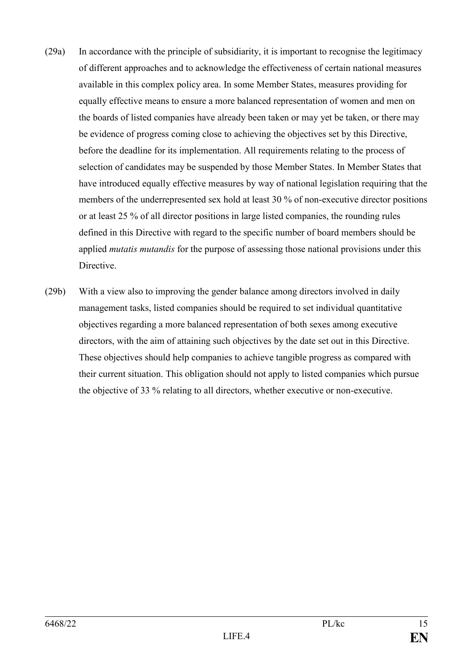- (29a) In accordance with the principle of subsidiarity, it is important to recognise the legitimacy of different approaches and to acknowledge the effectiveness of certain national measures available in this complex policy area. In some Member States, measures providing for equally effective means to ensure a more balanced representation of women and men on the boards of listed companies have already been taken or may yet be taken, or there may be evidence of progress coming close to achieving the objectives set by this Directive, before the deadline for its implementation. All requirements relating to the process of selection of candidates may be suspended by those Member States. In Member States that have introduced equally effective measures by way of national legislation requiring that the members of the underrepresented sex hold at least 30 % of non-executive director positions or at least 25 % of all director positions in large listed companies, the rounding rules defined in this Directive with regard to the specific number of board members should be applied *mutatis mutandis* for the purpose of assessing those national provisions under this Directive.
- (29b) With a view also to improving the gender balance among directors involved in daily management tasks, listed companies should be required to set individual quantitative objectives regarding a more balanced representation of both sexes among executive directors, with the aim of attaining such objectives by the date set out in this Directive. These objectives should help companies to achieve tangible progress as compared with their current situation. This obligation should not apply to listed companies which pursue the objective of 33 % relating to all directors, whether executive or non-executive.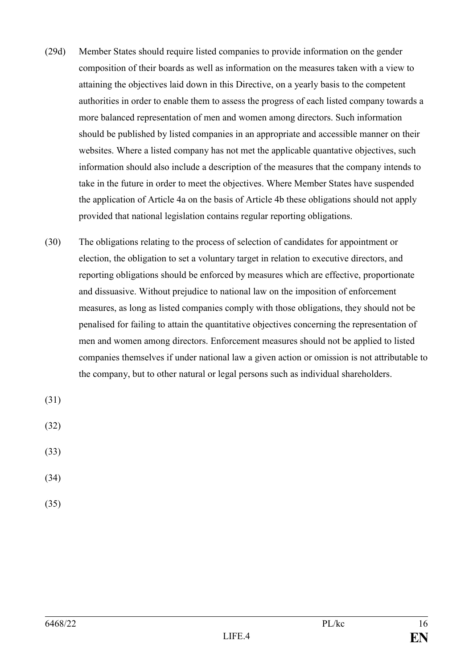- (29d) Member States should require listed companies to provide information on the gender composition of their boards as well as information on the measures taken with a view to attaining the objectives laid down in this Directive, on a yearly basis to the competent authorities in order to enable them to assess the progress of each listed company towards a more balanced representation of men and women among directors. Such information should be published by listed companies in an appropriate and accessible manner on their websites. Where a listed company has not met the applicable quantative objectives, such information should also include a description of the measures that the company intends to take in the future in order to meet the objectives. Where Member States have suspended the application of Article 4a on the basis of Article 4b these obligations should not apply provided that national legislation contains regular reporting obligations.
- (30) The obligations relating to the process of selection of candidates for appointment or election, the obligation to set a voluntary target in relation to executive directors, and reporting obligations should be enforced by measures which are effective, proportionate and dissuasive. Without prejudice to national law on the imposition of enforcement measures, as long as listed companies comply with those obligations, they should not be penalised for failing to attain the quantitative objectives concerning the representation of men and women among directors. Enforcement measures should not be applied to listed companies themselves if under national law a given action or omission is not attributable to the company, but to other natural or legal persons such as individual shareholders.

(31)

(32)

(33)

- (34)
- (35)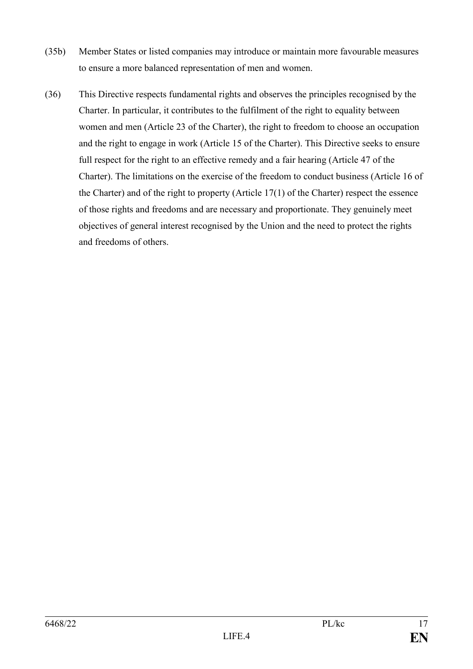- (35b) Member States or listed companies may introduce or maintain more favourable measures to ensure a more balanced representation of men and women.
- (36) This Directive respects fundamental rights and observes the principles recognised by the Charter. In particular, it contributes to the fulfilment of the right to equality between women and men (Article 23 of the Charter), the right to freedom to choose an occupation and the right to engage in work (Article 15 of the Charter). This Directive seeks to ensure full respect for the right to an effective remedy and a fair hearing (Article 47 of the Charter). The limitations on the exercise of the freedom to conduct business (Article 16 of the Charter) and of the right to property (Article 17(1) of the Charter) respect the essence of those rights and freedoms and are necessary and proportionate. They genuinely meet objectives of general interest recognised by the Union and the need to protect the rights and freedoms of others.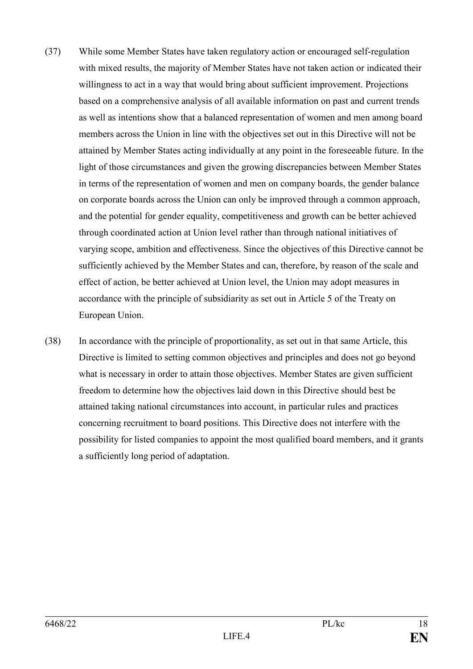- (37) While some Member States have taken regulatory action or encouraged self-regulation with mixed results, the majority of Member States have not taken action or indicated their willingness to act in a way that would bring about sufficient improvement. Projections based on a comprehensive analysis of all available information on past and current trends as well as intentions show that a balanced representation of women and men among board members across the Union in line with the objectives set out in this Directive will not be attained by Member States acting individually at any point in the foreseeable future. In the light of those circumstances and given the growing discrepancies between Member States in terms of the representation of women and men on company boards, the gender balance on corporate boards across the Union can only be improved through a common approach, and the potential for gender equality, competitiveness and growth can be better achieved through coordinated action at Union level rather than through national initiatives of varying scope, ambition and effectiveness. Since the objectives of this Directive cannot be sufficiently achieved by the Member States and can, therefore, by reason of the scale and effect of action, be better achieved at Union level, the Union may adopt measures in accordance with the principle of subsidiarity as set out in Article 5 of the Treaty on European Union.
- (38) In accordance with the principle of proportionality, as set out in that same Article, this Directive is limited to setting common objectives and principles and does not go beyond what is necessary in order to attain those objectives. Member States are given sufficient freedom to determine how the objectives laid down in this Directive should best be attained taking national circumstances into account, in particular rules and practices concerning recruitment to board positions. This Directive does not interfere with the possibility for listed companies to appoint the most qualified board members, and it grants a sufficiently long period of adaptation.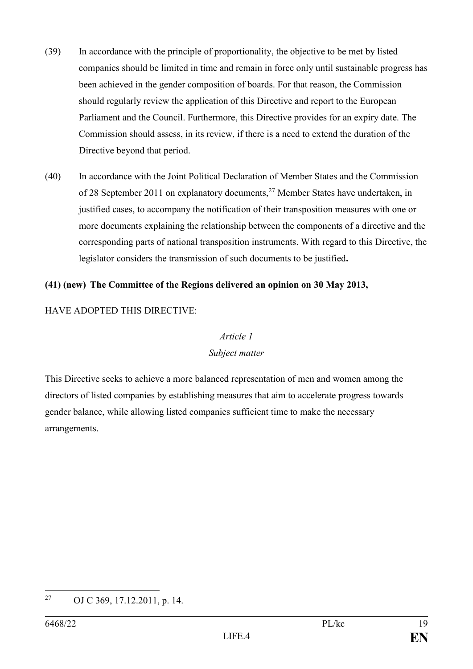- (39) In accordance with the principle of proportionality, the objective to be met by listed companies should be limited in time and remain in force only until sustainable progress has been achieved in the gender composition of boards. For that reason, the Commission should regularly review the application of this Directive and report to the European Parliament and the Council. Furthermore, this Directive provides for an expiry date. The Commission should assess, in its review, if there is a need to extend the duration of the Directive beyond that period.
- (40) In accordance with the Joint Political Declaration of Member States and the Commission of 28 September 2011 on explanatory documents,<sup>27</sup> Member States have undertaken, in justified cases, to accompany the notification of their transposition measures with one or more documents explaining the relationship between the components of a directive and the corresponding parts of national transposition instruments. With regard to this Directive, the legislator considers the transmission of such documents to be justified**.**

#### **(41) (new) The Committee of the Regions delivered an opinion on 30 May 2013,**

#### HAVE ADOPTED THIS DIRECTIVE:

#### *Article 1*

#### *Subject matter*

This Directive seeks to achieve a more balanced representation of men and women among the directors of listed companies by establishing measures that aim to accelerate progress towards gender balance, while allowing listed companies sufficient time to make the necessary arrangements.

<sup>27</sup> OJ C 369, 17.12.2011, p. 14.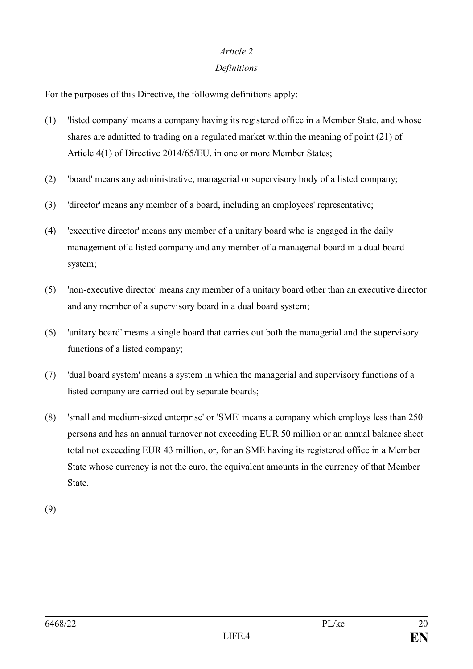#### *Article 2*

#### *Definitions*

For the purposes of this Directive, the following definitions apply:

- (1) 'listed company' means a company having its registered office in a Member State, and whose shares are admitted to trading on a regulated market within the meaning of point (21) of Article 4(1) of Directive 2014/65/EU, in one or more Member States;
- (2) 'board' means any administrative, managerial or supervisory body of a listed company;
- (3) 'director' means any member of a board, including an employees' representative;
- (4) 'executive director' means any member of a unitary board who is engaged in the daily management of a listed company and any member of a managerial board in a dual board system;
- (5) 'non-executive director' means any member of a unitary board other than an executive director and any member of a supervisory board in a dual board system;
- (6) 'unitary board' means a single board that carries out both the managerial and the supervisory functions of a listed company;
- (7) 'dual board system' means a system in which the managerial and supervisory functions of a listed company are carried out by separate boards;
- (8) 'small and medium-sized enterprise' or 'SME' means a company which employs less than 250 persons and has an annual turnover not exceeding EUR 50 million or an annual balance sheet total not exceeding EUR 43 million, or, for an SME having its registered office in a Member State whose currency is not the euro, the equivalent amounts in the currency of that Member State.

(9)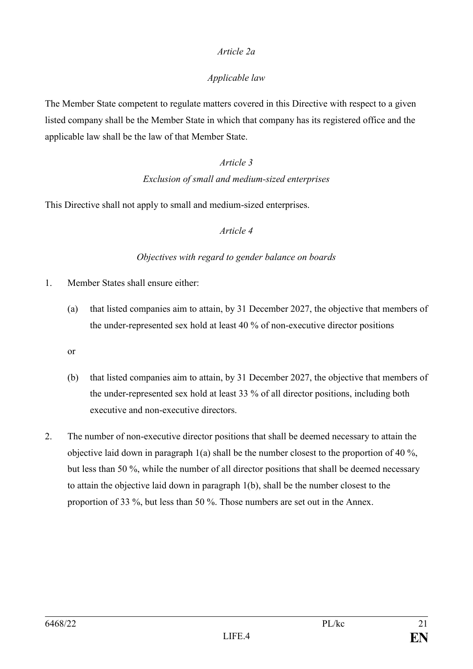# *Article 2a*

# *Applicable law*

The Member State competent to regulate matters covered in this Directive with respect to a given listed company shall be the Member State in which that company has its registered office and the applicable law shall be the law of that Member State.

#### *Article 3*

#### *Exclusion of small and medium-sized enterprises*

This Directive shall not apply to small and medium-sized enterprises.

#### *Article 4*

#### *Objectives with regard to gender balance on boards*

- 1. Member States shall ensure either:
	- (a) that listed companies aim to attain, by 31 December 2027, the objective that members of the under-represented sex hold at least 40 % of non-executive director positions
	- or
	- (b) that listed companies aim to attain, by 31 December 2027, the objective that members of the under-represented sex hold at least 33 % of all director positions, including both executive and non-executive directors.
- 2. The number of non-executive director positions that shall be deemed necessary to attain the objective laid down in paragraph 1(a) shall be the number closest to the proportion of 40 %, but less than 50 %, while the number of all director positions that shall be deemed necessary to attain the objective laid down in paragraph 1(b), shall be the number closest to the proportion of 33 %, but less than 50 %. Those numbers are set out in the Annex.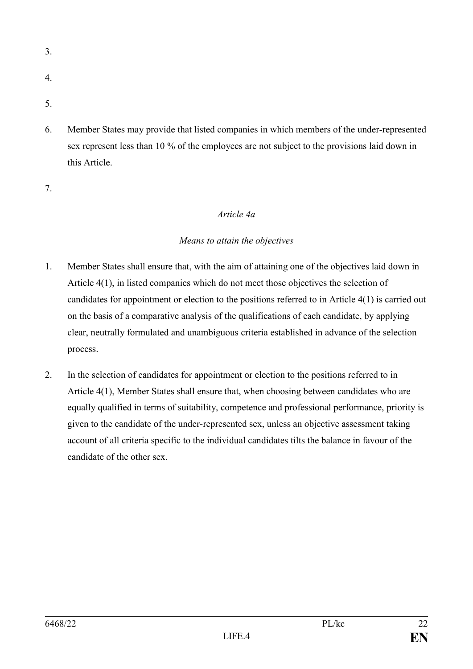- 3.
- 4.
- 5.
- 6. Member States may provide that listed companies in which members of the under-represented sex represent less than 10 % of the employees are not subject to the provisions laid down in this Article.

7.

# *Article 4a*

# *Means to attain the objectives*

- 1. Member States shall ensure that, with the aim of attaining one of the objectives laid down in Article 4(1), in listed companies which do not meet those objectives the selection of candidates for appointment or election to the positions referred to in Article 4(1) is carried out on the basis of a comparative analysis of the qualifications of each candidate, by applying clear, neutrally formulated and unambiguous criteria established in advance of the selection process.
- 2. In the selection of candidates for appointment or election to the positions referred to in Article 4(1), Member States shall ensure that, when choosing between candidates who are equally qualified in terms of suitability, competence and professional performance, priority is given to the candidate of the under-represented sex, unless an objective assessment taking account of all criteria specific to the individual candidates tilts the balance in favour of the candidate of the other sex.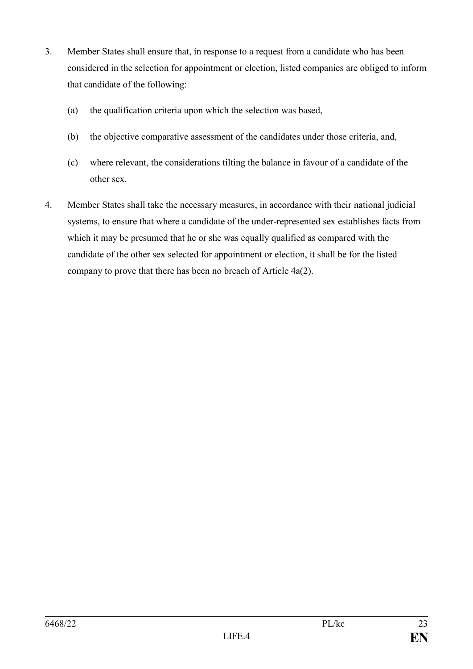- 3. Member States shall ensure that, in response to a request from a candidate who has been considered in the selection for appointment or election, listed companies are obliged to inform that candidate of the following:
	- (a) the qualification criteria upon which the selection was based,
	- (b) the objective comparative assessment of the candidates under those criteria, and,
	- (c) where relevant, the considerations tilting the balance in favour of a candidate of the other sex.
- 4. Member States shall take the necessary measures, in accordance with their national judicial systems, to ensure that where a candidate of the under-represented sex establishes facts from which it may be presumed that he or she was equally qualified as compared with the candidate of the other sex selected for appointment or election, it shall be for the listed company to prove that there has been no breach of Article 4a(2).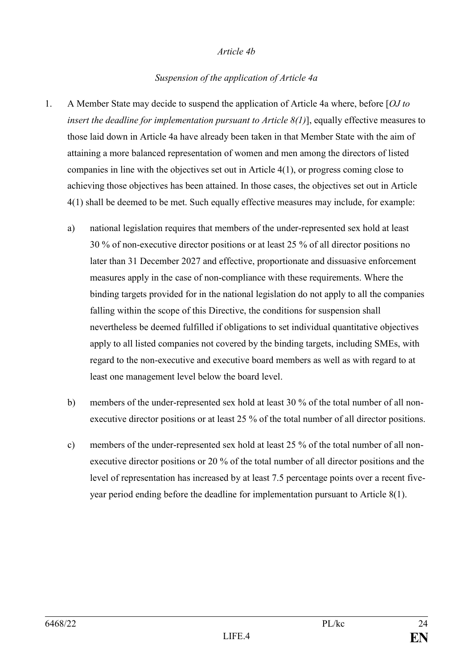#### *Article 4b*

#### *Suspension of the application of Article 4a*

- 1. A Member State may decide to suspend the application of Article 4a where, before [*OJ to insert the deadline for implementation pursuant to Article 8(1)*], equally effective measures to those laid down in Article 4a have already been taken in that Member State with the aim of attaining a more balanced representation of women and men among the directors of listed companies in line with the objectives set out in Article 4(1), or progress coming close to achieving those objectives has been attained. In those cases, the objectives set out in Article 4(1) shall be deemed to be met. Such equally effective measures may include, for example:
	- a) national legislation requires that members of the under-represented sex hold at least 30 % of non-executive director positions or at least 25 % of all director positions no later than 31 December 2027 and effective, proportionate and dissuasive enforcement measures apply in the case of non-compliance with these requirements. Where the binding targets provided for in the national legislation do not apply to all the companies falling within the scope of this Directive, the conditions for suspension shall nevertheless be deemed fulfilled if obligations to set individual quantitative objectives apply to all listed companies not covered by the binding targets, including SMEs, with regard to the non-executive and executive board members as well as with regard to at least one management level below the board level.
	- b) members of the under-represented sex hold at least 30 % of the total number of all nonexecutive director positions or at least 25 % of the total number of all director positions.
	- c) members of the under-represented sex hold at least 25 % of the total number of all nonexecutive director positions or 20 % of the total number of all director positions and the level of representation has increased by at least 7.5 percentage points over a recent fiveyear period ending before the deadline for implementation pursuant to Article 8(1).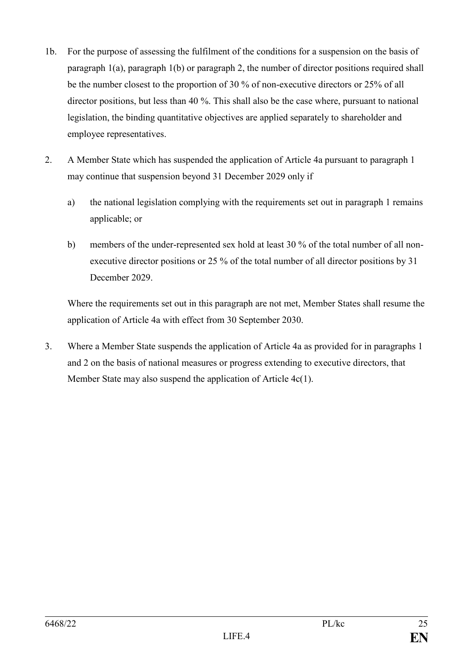- 1b. For the purpose of assessing the fulfilment of the conditions for a suspension on the basis of paragraph 1(a), paragraph 1(b) or paragraph 2, the number of director positions required shall be the number closest to the proportion of 30 % of non-executive directors or 25% of all director positions, but less than 40 %. This shall also be the case where, pursuant to national legislation, the binding quantitative objectives are applied separately to shareholder and employee representatives.
- 2. A Member State which has suspended the application of Article 4a pursuant to paragraph 1 may continue that suspension beyond 31 December 2029 only if
	- a) the national legislation complying with the requirements set out in paragraph 1 remains applicable; or
	- b) members of the under-represented sex hold at least 30 % of the total number of all nonexecutive director positions or 25 % of the total number of all director positions by 31 December 2029.

Where the requirements set out in this paragraph are not met, Member States shall resume the application of Article 4a with effect from 30 September 2030.

3. Where a Member State suspends the application of Article 4a as provided for in paragraphs 1 and 2 on the basis of national measures or progress extending to executive directors, that Member State may also suspend the application of Article 4c(1).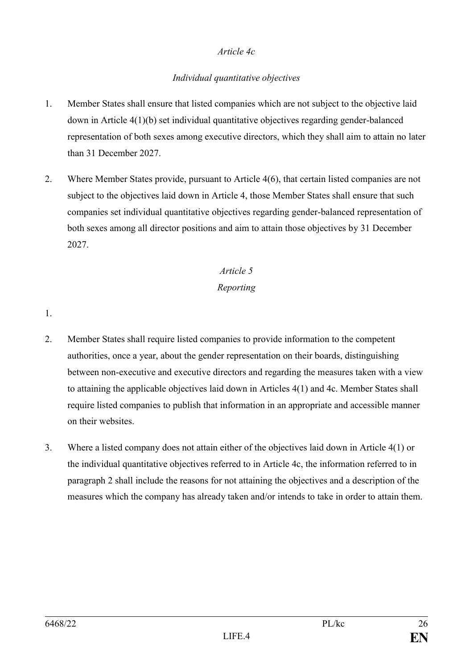#### *Article 4c*

# *Individual quantitative objectives*

- 1. Member States shall ensure that listed companies which are not subject to the objective laid down in Article 4(1)(b) set individual quantitative objectives regarding gender-balanced representation of both sexes among executive directors, which they shall aim to attain no later than 31 December 2027.
- 2. Where Member States provide, pursuant to Article 4(6), that certain listed companies are not subject to the objectives laid down in Article 4, those Member States shall ensure that such companies set individual quantitative objectives regarding gender-balanced representation of both sexes among all director positions and aim to attain those objectives by 31 December 2027.

# *Article 5 Reporting*

1.

- 2. Member States shall require listed companies to provide information to the competent authorities, once a year, about the gender representation on their boards, distinguishing between non-executive and executive directors and regarding the measures taken with a view to attaining the applicable objectives laid down in Articles 4(1) and 4c. Member States shall require listed companies to publish that information in an appropriate and accessible manner on their websites.
- 3. Where a listed company does not attain either of the objectives laid down in Article 4(1) or the individual quantitative objectives referred to in Article 4c, the information referred to in paragraph 2 shall include the reasons for not attaining the objectives and a description of the measures which the company has already taken and/or intends to take in order to attain them.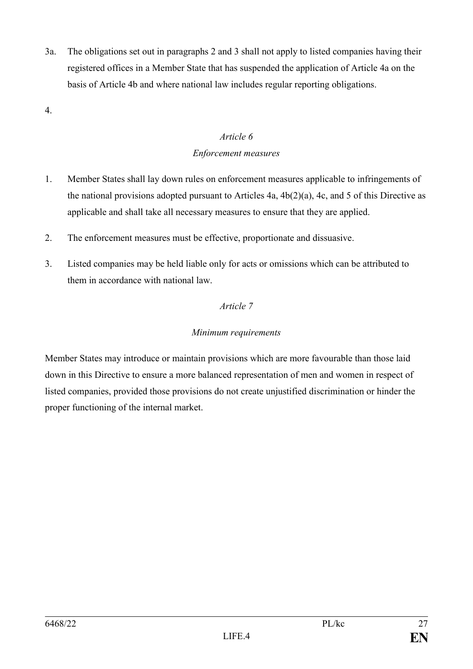3a. The obligations set out in paragraphs 2 and 3 shall not apply to listed companies having their registered offices in a Member State that has suspended the application of Article 4a on the basis of Article 4b and where national law includes regular reporting obligations.

4.

# *Article 6 Enforcement measures*

- 1. Member States shall lay down rules on enforcement measures applicable to infringements of the national provisions adopted pursuant to Articles 4a, 4b(2)(a), 4c, and 5 of this Directive as applicable and shall take all necessary measures to ensure that they are applied.
- 2. The enforcement measures must be effective, proportionate and dissuasive.
- 3. Listed companies may be held liable only for acts or omissions which can be attributed to them in accordance with national law.

# *Article 7*

# *Minimum requirements*

Member States may introduce or maintain provisions which are more favourable than those laid down in this Directive to ensure a more balanced representation of men and women in respect of listed companies, provided those provisions do not create unjustified discrimination or hinder the proper functioning of the internal market.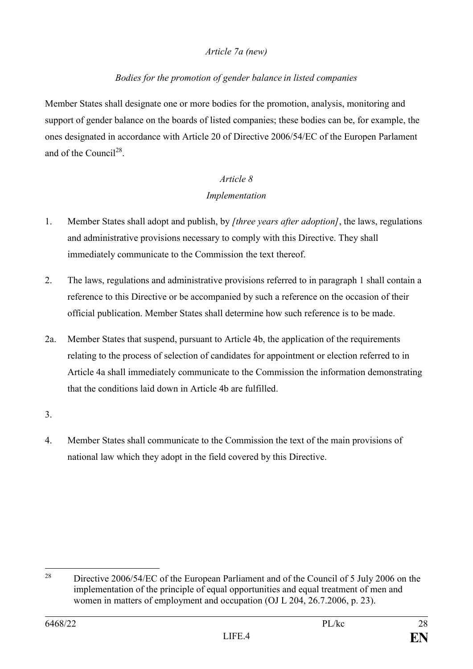# *Article 7a (new)*

## *Bodies for the promotion of gender balance in listed companies*

Member States shall designate one or more bodies for the promotion, analysis, monitoring and support of gender balance on the boards of listed companies; these bodies can be, for example, the ones designated in accordance with Article 20 of Directive 2006/54/EC of the Europen Parlament and of the Council<sup>28</sup>.

# *Article 8 Implementation*

- 1. Member States shall adopt and publish, by *[three years after adoption]*, the laws, regulations and administrative provisions necessary to comply with this Directive. They shall immediately communicate to the Commission the text thereof.
- 2. The laws, regulations and administrative provisions referred to in paragraph 1 shall contain a reference to this Directive or be accompanied by such a reference on the occasion of their official publication. Member States shall determine how such reference is to be made.
- 2a. Member States that suspend, pursuant to Article 4b, the application of the requirements relating to the process of selection of candidates for appointment or election referred to in Article 4a shall immediately communicate to the Commission the information demonstrating that the conditions laid down in Article 4b are fulfilled.
- 3.
- 4. Member States shall communicate to the Commission the text of the main provisions of national law which they adopt in the field covered by this Directive.

 $28$ <sup>28</sup> Directive 2006/54/EC of the European Parliament and of the Council of 5 July 2006 on the implementation of the principle of equal opportunities and equal treatment of men and women in matters of employment and occupation (OJ L 204, 26.7.2006, p. 23).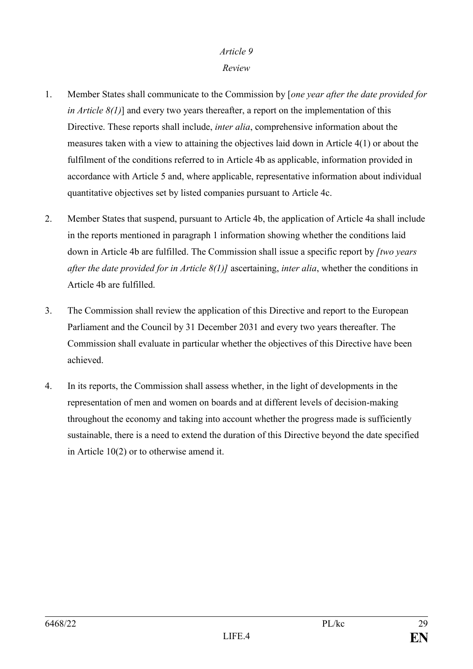#### *Article 9*

#### *Review*

- 1. Member States shall communicate to the Commission by [*one year after the date provided for in Article 8(1)*] and every two years thereafter, a report on the implementation of this Directive. These reports shall include, *inter alia*, comprehensive information about the measures taken with a view to attaining the objectives laid down in Article 4(1) or about the fulfilment of the conditions referred to in Article 4b as applicable, information provided in accordance with Article 5 and, where applicable, representative information about individual quantitative objectives set by listed companies pursuant to Article 4c.
- 2. Member States that suspend, pursuant to Article 4b, the application of Article 4a shall include in the reports mentioned in paragraph 1 information showing whether the conditions laid down in Article 4b are fulfilled. The Commission shall issue a specific report by *[two years after the date provided for in Article 8(1)]* ascertaining, *inter alia*, whether the conditions in Article 4b are fulfilled.
- 3. The Commission shall review the application of this Directive and report to the European Parliament and the Council by 31 December 2031 and every two years thereafter. The Commission shall evaluate in particular whether the objectives of this Directive have been achieved.
- 4. In its reports, the Commission shall assess whether, in the light of developments in the representation of men and women on boards and at different levels of decision-making throughout the economy and taking into account whether the progress made is sufficiently sustainable, there is a need to extend the duration of this Directive beyond the date specified in Article 10(2) or to otherwise amend it.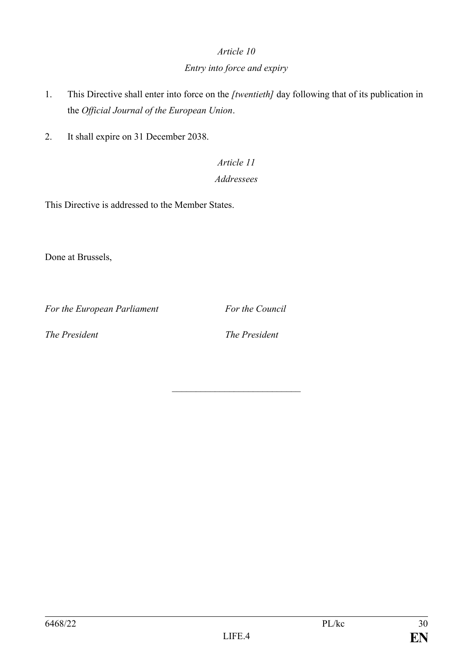### *Article 10*

# *Entry into force and expiry*

- 1. This Directive shall enter into force on the *[twentieth]* day following that of its publication in the *Official Journal of the European Union*.
- 2. It shall expire on 31 December 2038.

# *Article 11 Addressees*

This Directive is addressed to the Member States.

Done at Brussels,

*For the European Parliament For the Council*

*The President The President*

\_\_\_\_\_\_\_\_\_\_\_\_\_\_\_\_\_\_\_\_\_\_\_\_\_\_\_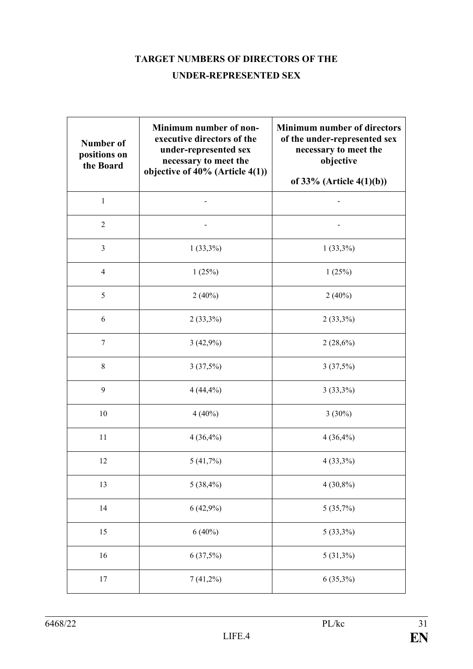# **TARGET NUMBERS OF DIRECTORS OF THE**

# **UNDER-REPRESENTED SEX**

| <b>Number of</b><br>positions on<br>the Board | Minimum number of non-<br>executive directors of the<br>under-represented sex<br>necessary to meet the<br>objective of $40\%$ (Article $4(1)$ ) | <b>Minimum number of directors</b><br>of the under-represented sex<br>necessary to meet the<br>objective<br>of $33\%$ (Article 4(1)(b)) |
|-----------------------------------------------|-------------------------------------------------------------------------------------------------------------------------------------------------|-----------------------------------------------------------------------------------------------------------------------------------------|
| $\mathbf{1}$                                  |                                                                                                                                                 |                                                                                                                                         |
| $\overline{2}$                                |                                                                                                                                                 |                                                                                                                                         |
| 3                                             | $1(33,3\%)$                                                                                                                                     | $1(33,3\%)$                                                                                                                             |
| $\overline{4}$                                | 1(25%)                                                                                                                                          | 1(25%)                                                                                                                                  |
| 5                                             | $2(40\%)$                                                                                                                                       | $2(40\%)$                                                                                                                               |
| 6                                             | $2(33,3\%)$                                                                                                                                     | $2(33,3\%)$                                                                                                                             |
| $\tau$                                        | $3(42,9\%)$                                                                                                                                     | $2(28,6\%)$                                                                                                                             |
| 8                                             | 3(37,5%)                                                                                                                                        | 3(37,5%)                                                                                                                                |
| 9                                             | 4(44,4%)                                                                                                                                        | $3(33,3\%)$                                                                                                                             |
| 10                                            | $4(40\%)$                                                                                                                                       | $3(30\%)$                                                                                                                               |
| 11                                            | $4(36,4\%)$                                                                                                                                     | $4(36,4\%)$                                                                                                                             |
| 12                                            | 5(41,7%)                                                                                                                                        | $4(33,3\%)$                                                                                                                             |
| 13                                            | 5(38,4%)                                                                                                                                        | $4(30,8\%)$                                                                                                                             |
| 14                                            | $6(42,9\%)$                                                                                                                                     | 5(35,7%)                                                                                                                                |
| 15                                            | $6(40\%)$                                                                                                                                       | $5(33,3\%)$                                                                                                                             |
| 16                                            | 6(37,5%)                                                                                                                                        | $5(31,3\%)$                                                                                                                             |
| 17                                            | $7(41,2\%)$                                                                                                                                     | $6(35,3\%)$                                                                                                                             |